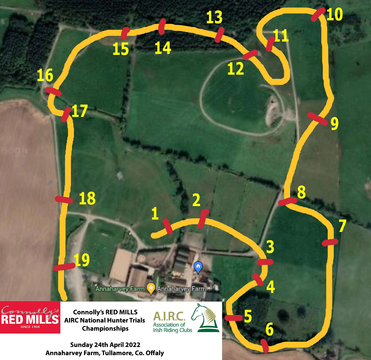